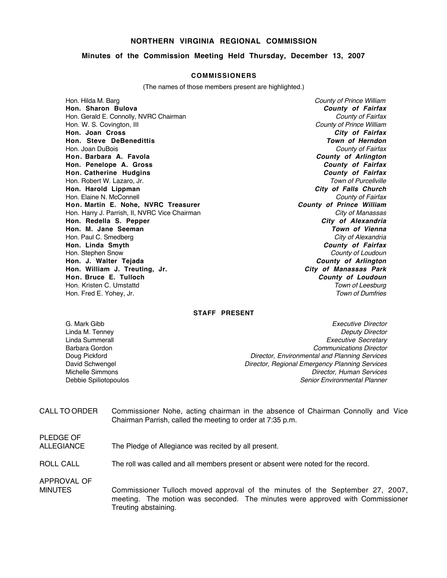#### **NORTHERN VIRGINIA REGIONAL COMMISSION**

#### **Minutes of the Commission Meeting Held Thursday, December 13, 2007**

#### **COMMISSIONERS**

(The names of those members present are highlighted.)

Hon. Hilda M. Barg **County of Prince William Hon. Sharon Bulova County of Fairfax** Hon. Gerald E. Connolly, NVRC Chairman County of Fairfax<br>Hon. W. S. Covington, III County of Frince William Hon. W. S. Covington, III **Hon. Joan Cross City of Fairfax Hon. Steve DeBenedittis Town of Herndon** Hon. Joan DuBois County of Fairfax **Hon. Barbara A. Favola County of Arlington Hon. Penelope A. Gross County of Fairfax Hon.** Catherine Hudgins Hon. Robert W. Lazaro, Jr. New York 1998, 2008. Town of Purcellville and the Second Town of Purcellville and the Second Town of Purcellville and the Second Town of Purcellville and the Second Town of Purcellville and the S **Hon. Harold Lippman City of Falls Church** Hon. Elaine N. McConnell **Hon. Martin E. Nohe, NVRC Treasurer County of Prince William**<br>Hon. Harry J. Parrish, II, NVRC Vice Chairman **City of Manassas** Hon. Harry J. Parrish, II, NVRC Vice Chairman City of Manassas City of Manassas<br> **Hon. Redella S. Pepper** City of Alexandria **Hon. Redella S. Pepper Hon. M. Jane Seeman Town of Vienna** Hon. Paul C. Smedberg and the control of Alexandria and City of Alexandria and City of Alexandria and Country of Fairfax **Hon. Linda Smyth** Hon. Stephen Snow County of Loudoun<br> **Hon. J. Walter Tejada Hon. J. Walter Tejada Hon. J. Walter Tejada County of Arlington Hon. William J. Treuting, Jr. Hon. Bruce E. Tulloch County of Loudoun** Hon. Kristen C. Umstattd<br>
Hon. Fred E. Yohev. Jr. (1999) 2009 19:30 19:30 19:30 19:30 19:30 19:30 19:30 19:30 19:30 19:30 19:30 19:30 1<br>
Town of Dumfries Hon. Fred E. Yohey, Jr.

#### **STAFF PRESENT**

G. Mark Gibb **Executive Director** Control of the Security of the Executive Director Linda M. Tenney **Deputy Director** Communication Communication Communication Communication Communication Communication Communication Communication Communication Communication Communication Communication Communication Commun Linda Summerall Executive Secretary Communications Director Communications Director Communications Director **Communications Director** Doug Pickford **Director, Environmental and Planning Services Director**, Environmental and Planning Services David Schwengel **Director, Regional Emergency Planning Services** Director, Regional Emergency Planning Services Michelle Simmons Director, Human Services Debbie Spiliotopoulos Senior Environmental Planner

CALL TO ORDER Commissioner Nohe, acting chairman in the absence of Chairman Connolly and Vice Chairman Parrish, called the meeting to order at 7:35 p.m.

PLEDGE OF<br>ALLEGIANCE

The Pledge of Allegiance was recited by all present.

ROLL CALL The roll was called and all members present or absent were noted for the record.

APPROVAL OF

MINUTES Commissioner Tulloch moved approval of the minutes of the September 27, 2007, meeting. The motion was seconded. The minutes were approved with Commissioner Treuting abstaining.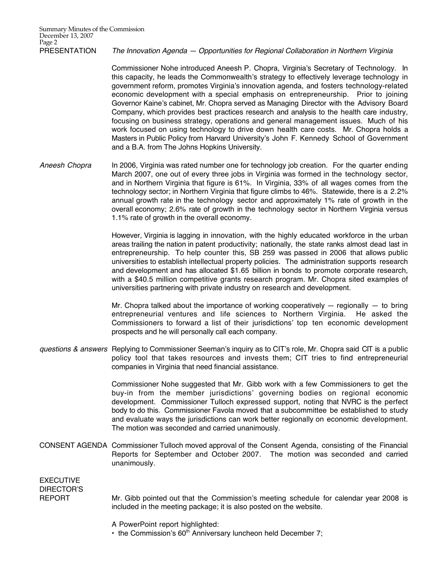#### The Innovation Agenda — Opportunities for Regional Collaboration in Northern Virginia

Commissioner Nohe introduced Aneesh P. Chopra, Virginia's Secretary of Technology. In this capacity, he leads the Commonwealth's strategy to effectively leverage technology in government reform, promotes Virginia's innovation agenda, and fosters technology-related economic development with a special emphasis on entrepreneurship. Prior to joining Governor Kaine's cabinet, Mr. Chopra served as Managing Director with the Advisory Board Company, which provides best practices research and analysis to the health care industry, focusing on business strategy, operations and general management issues. Much of his work focused on using technology to drive down health care costs. Mr. Chopra holds a Masters in Public Policy from Harvard University's John F. Kennedy School of Government and a B.A. from The Johns Hopkins University.

Aneesh Chopra In 2006, Virginia was rated number one for technology job creation. For the quarter ending March 2007, one out of every three jobs in Virginia was formed in the technology sector, and in Northern Virginia that figure is 61%. In Virginia, 33% of all wages comes from the technology sector; in Northern Virginia that figure climbs to 46%. Statewide, there is a 2.2% annual growth rate in the technology sector and approximately 1% rate of growth in the overall economy; 2.6% rate of growth in the technology sector in Northern Virginia versus 1.1% rate of growth in the overall economy.

> However, Virginia is lagging in innovation, with the highly educated workforce in the urban areas trailing the nation in patent productivity; nationally, the state ranks almost dead last in entrepreneurship. To help counter this, SB 259 was passed in 2006 that allows public universities to establish intellectual property policies. The administration supports research and development and has allocated \$1.65 billion in bonds to promote corporate research, with a \$40.5 million competitive grants research program. Mr. Chopra sited examples of universities partnering with private industry on research and development.

> Mr. Chopra talked about the importance of working cooperatively  $-$  regionally  $-$  to bring entrepreneurial ventures and life sciences to Northern Virginia. He asked the Commissioners to forward a list of their jurisdictions' top ten economic development prospects and he will personally call each company.

questions & answers Replying to Commissioner Seeman's inquiry as to CIT's role, Mr. Chopra said CIT is a public policy tool that takes resources and invests them; CIT tries to find entrepreneurial companies in Virginia that need financial assistance.

> Commissioner Nohe suggested that Mr. Gibb work with a few Commissioners to get the buy-in from the member jurisdictions' governing bodies on regional economic development. Commissioner Tulloch expressed support, noting that NVRC is the perfect body to do this. Commissioner Favola moved that a subcommittee be established to study and evaluate ways the jurisdictions can work better regionally on economic development. The motion was seconded and carried unanimously.

CONSENT AGENDA Commissioner Tulloch moved approval of the Consent Agenda, consisting of the Financial Reports for September and October 2007. The motion was seconded and carried unanimously.

EXECUTIVE DIRECTOR'S

- REPORT Mr. Gibb pointed out that the Commission's meeting schedule for calendar year 2008 is included in the meeting package; it is also posted on the website.
	- A PowerPoint report highlighted:
	- $\cdot$  the Commission's 60<sup>th</sup> Anniversary luncheon held December 7;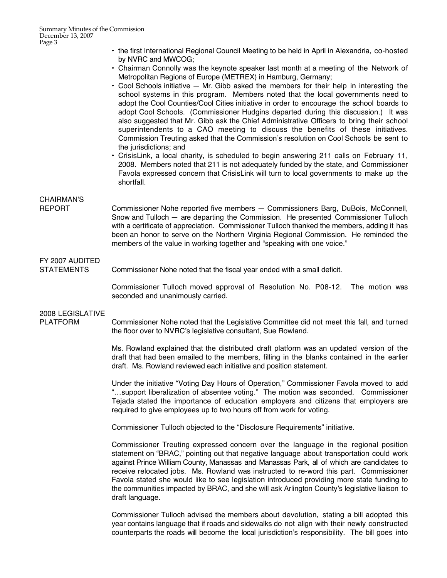- the first International Regional Council Meeting to be held in April in Alexandria, co-hosted by NVRC and MWCOG;
- Chairman Connolly was the keynote speaker last month at a meeting of the Network of Metropolitan Regions of Europe (METREX) in Hamburg, Germany;
- Cool Schools initiative Mr. Gibb asked the members for their help in interesting the school systems in this program. Members noted that the local governments need to adopt the Cool Counties/Cool Cities initiative in order to encourage the school boards to adopt Cool Schools. (Commissioner Hudgins departed during this discussion.) It was also suggested that Mr. Gibb ask the Chief Administrative Officers to bring their school superintendents to a CAO meeting to discuss the benefits of these initiatives. Commission Treuting asked that the Commission's resolution on Cool Schools be sent to the jurisdictions; and
- CrisisLink, a local charity, is scheduled to begin answering 211 calls on February 11, 2008. Members noted that 211 is not adequately funded by the state, and Commissioner Favola expressed concern that CrisisLink will turn to local governments to make up the shortfall.

### CHAIRMAN'S

REPORT Commissioner Nohe reported five members - Commissioners Barg, DuBois, McConnell, Snow and Tulloch — are departing the Commission. He presented Commissioner Tulloch with a certificate of appreciation. Commissioner Tulloch thanked the members, adding it has been an honor to serve on the Northern Virginia Regional Commission. He reminded the members of the value in working together and "speaking with one voice."

# FY 2007 AUDITED

STATEMENTS Commissioner Nohe noted that the fiscal year ended with a small deficit.

Commissioner Tulloch moved approval of Resolution No. P08-12. The motion was seconded and unanimously carried.

## 2008 LEGISLATIVE

PLATFORM Commissioner Nohe noted that the Legislative Committee did not meet this fall, and turned the floor over to NVRC's legislative consultant, Sue Rowland.

> Ms. Rowland explained that the distributed draft platform was an updated version of the draft that had been emailed to the members, filling in the blanks contained in the earlier draft. Ms. Rowland reviewed each initiative and position statement.

> Under the initiative "Voting Day Hours of Operation," Commissioner Favola moved to add "…support liberalization of absentee voting." The motion was seconded. Commissioner Tejada stated the importance of education employers and citizens that employers are required to give employees up to two hours off from work for voting.

Commissioner Tulloch objected to the "Disclosure Requirements" initiative.

Commissioner Treuting expressed concern over the language in the regional position statement on "BRAC," pointing out that negative language about transportation could work against Prince William County, Manassas and Manassas Park, all of which are candidates to receive relocated jobs. Ms. Rowland was instructed to re-word this part. Commissioner Favola stated she would like to see legislation introduced providing more state funding to the communities impacted by BRAC, and she will ask Arlington County's legislative liaison to draft language.

Commissioner Tulloch advised the members about devolution, stating a bill adopted this year contains language that if roads and sidewalks do not align with their newly constructed counterparts the roads will become the local jurisdiction's responsibility. The bill goes into